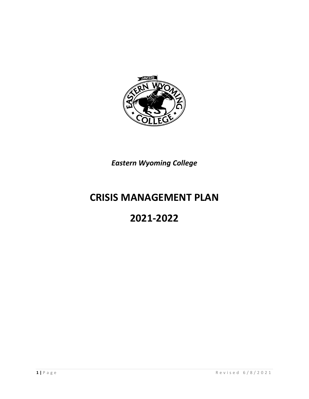

## *Eastern Wyoming College*

# **CRISIS MANAGEMENT PLAN**

# **2021-2022**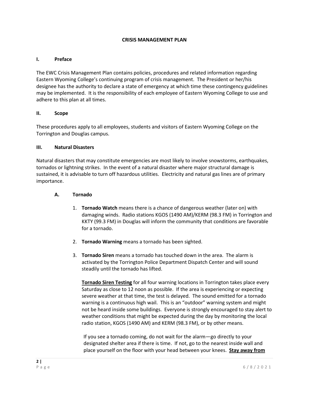#### **CRISIS MANAGEMENT PLAN**

#### **I. Preface**

The EWC Crisis Management Plan contains policies, procedures and related information regarding Eastern Wyoming College's continuing program of crisis management. The President or her/his designee has the authority to declare a state of emergency at which time these contingency guidelines may be implemented. It is the responsibility of each employee of Eastern Wyoming College to use and adhere to this plan at all times.

#### **II. Scope**

These procedures apply to all employees, students and visitors of Eastern Wyoming College on the Torrington and Douglas campus.

#### **III. Natural Disasters**

Natural disasters that may constitute emergencies are most likely to involve snowstorms, earthquakes, tornados or lightning strikes. In the event of a natural disaster where major structural damage is sustained, it is advisable to turn off hazardous utilities. Electricity and natural gas lines are of primary importance.

#### **A. Tornado**

- 1. **Tornado Watch** means there is a chance of dangerous weather (later on) with damaging winds. Radio stations KGOS (1490 AM)/KERM (98.3 FM) in Torrington and KKTY (99.3 FM) in Douglas will inform the community that conditions are favorable for a tornado.
- 2. **Tornado Warning** means a tornado has been sighted.
- 3. **Tornado Siren** means a tornado has touched down in the area. The alarm is activated by the Torrington Police Department Dispatch Center and will sound steadily until the tornado has lifted.

**Tornado Siren Testing** for all four warning locations in Torrington takes place every Saturday as close to 12 noon as possible. If the area is experiencing or expecting severe weather at that time, the test is delayed. The sound emitted for a tornado warning is a continuous high wail. This is an "outdoor" warning system and might not be heard inside some buildings. Everyone is strongly encouraged to stay alert to weather conditions that might be expected during the day by monitoring the local radio station, KGOS (1490 AM) and KERM (98.3 FM), or by other means.

If you see a tornado coming, do not wait for the alarm—go directly to your designated shelter area if there is time. If not, go to the nearest inside wall and place yourself on the floor with your head between your knees. **Stay away from**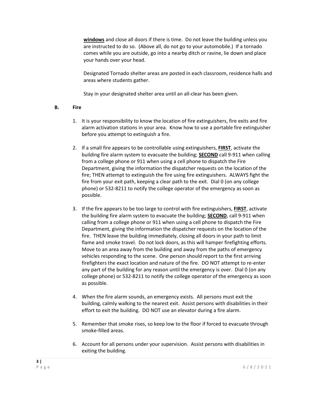**windows** and close all doors if there is time. Do not leave the building unless you are instructed to do so. (Above all, do not go to your automobile.) If a tornado comes while you are outside, go into a nearby ditch or ravine, lie down and place your hands over your head.

Designated Tornado shelter areas are posted in each classroom, residence halls and areas where students gather.

Stay in your designated shelter area until an all-clear has been given.

#### **B. Fire**

- 1. It is your responsibility to know the location of fire extinguishers, fire exits and fire alarm activation stations in your area. Know how to use a portable fire extinguisher before you attempt to extinguish a fire.
- 2. If a small fire appears to be controllable using extinguishers, **FIRST**, activate the building fire alarm system to evacuate the building; **SECOND** call 9-911 when calling from a college phone or 911 when using a cell phone to dispatch the Fire Department, giving the information the dispatcher requests on the location of the fire; THEN attempt to extinguish the fire using fire extinguishers. ALWAYS fight the fire from your exit path, keeping a clear path to the exit. Dial 0 (on any college phone) or 532-8211 to notify the college operator of the emergency as soon as possible.
- 3. If the fire appears to be too large to control with fire extinguishers, **FIRST**, activate the building fire alarm system to evacuate the building; **SECOND**, call 9-911 when calling from a college phone or 911 when using a cell phone to dispatch the Fire Department, giving the information the dispatcher requests on the location of the fire. THEN leave the building immediately, closing all doors in your path to limit flame and smoke travel. Do not lock doors, as this will hamper firefighting efforts. Move to an area away from the building and away from the paths of emergency vehicles responding to the scene. One person should report to the first arriving firefighters the exact location and nature of the fire. DO NOT attempt to re-enter any part of the building for any reason until the emergency is over. Dial 0 (on any college phone) or 532-8211 to notify the college operator of the emergency as soon as possible.
- 4. When the fire alarm sounds, an emergency exists. All persons must exit the building, calmly walking to the nearest exit. Assist persons with disabilities in their effort to exit the building. DO NOT use an elevator during a fire alarm.
- 5. Remember that smoke rises, so keep low to the floor if forced to evacuate through smoke-filled areas.
- 6. Account for all persons under your supervision. Assist persons with disabilities in exiting the building.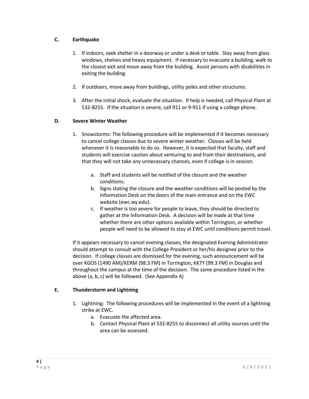## **C. Earthquake**

- 1. If indoors, seek shelter in a doorway or under a desk or table. Stay away from glass windows, shelves and heavy equipment. If necessary to evacuate a building, walk to the closest exit and move away from the building. Assist persons with disabilities in exiting the building.
- 2. If outdoors, move away from buildings, utility poles and other structures.
- 3. After the initial shock, evaluate the situation. If help is needed, call Physical Plant at 532-8255. If the situation is severe, call 911 or 9-911 if using a college phone.

## **D. Severe Winter Weather**

- 1. Snowstorms: The following procedure will be implemented if it becomes necessary to cancel college classes due to severe winter weather. Classes will be held whenever it is reasonable to do so. However, it is expected that faculty, staff and students will exercise caution about venturing to and from their destinations, and that they will not take any unnecessary chances, even if college is in session.
	- a. Staff and students will be notified of the closure and the weather conditions.
	- b. Signs stating the closure and the weather conditions will be posted by the Information Desk on the doors of the main entrance and on the EWC website (ewc.wy.edu).
	- c. If weather is too severe for people to leave, they should be directed to gather at the Information Desk. A decision will be made at that time whether there are other options available within Torrington, or whether people will need to be allowed to stay at EWC until conditions permit travel.

If it appears necessary to cancel evening classes, the designated Evening Administrator should attempt to consult with the College President or her/his designee prior to the decision. If college classes are dismissed for the evening, such announcement will be over KGOS (1490 AM)/KERM (98.3 FM) in Torrington, KKTY (99.3 FM) in Douglas and throughout the campus at the time of the decision. The same procedure listed in the above (a, b, c) will be followed. (See Appendix A)

## **E. Thunderstorm and Lightning**

- 1. Lightning: The following procedures will be implemented in the event of a lightning strike at EWC.
	- a. Evacuate the affected area.
	- b. Contact Physical Plant at 532-8255 to disconnect all utility sources until the area can be assessed.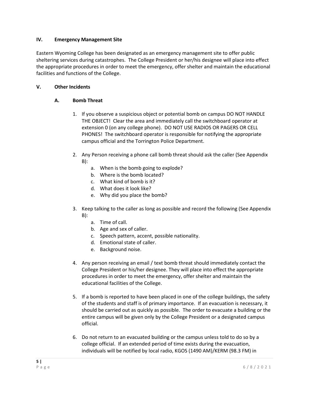#### **IV. Emergency Management Site**

Eastern Wyoming College has been designated as an emergency management site to offer public sheltering services during catastrophes. The College President or her/his designee will place into effect the appropriate procedures in order to meet the emergency, offer shelter and maintain the educational facilities and functions of the College.

#### **V. Other Incidents**

#### **A. Bomb Threat**

- 1. If you observe a suspicious object or potential bomb on campus DO NOT HANDLE THE OBJECT! Clear the area and immediately call the switchboard operator at extension 0 (on any college phone). DO NOT USE RADIOS OR PAGERS OR CELL PHONES! The switchboard operator is responsible for notifying the appropriate campus official and the Torrington Police Department.
- 2. Any Person receiving a phone call bomb threat should ask the caller (See Appendix B):
	- a. When is the bomb going to explode?
	- b. Where is the bomb located?
	- c. What kind of bomb is it?
	- d. What does it look like?
	- e. Why did you place the bomb?
- 3. Keep talking to the caller as long as possible and record the following (See Appendix  $B$ ):
	- a. Time of call.
	- b. Age and sex of caller.
	- c. Speech pattern, accent, possible nationality.
	- d. Emotional state of caller.
	- e. Background noise.
- 4. Any person receiving an email / text bomb threat should immediately contact the College President or his/her designee. They will place into effect the appropriate procedures in order to meet the emergency, offer shelter and maintain the educational facilities of the College.
- 5. If a bomb is reported to have been placed in one of the college buildings, the safety of the students and staff is of primary importance. If an evacuation is necessary, it should be carried out as quickly as possible. The order to evacuate a building or the entire campus will be given only by the College President or a designated campus official.
- 6. Do not return to an evacuated building or the campus unless told to do so by a college official. If an extended period of time exists during the evacuation, individuals will be notified by local radio, KGOS (1490 AM)/KERM (98.3 FM) in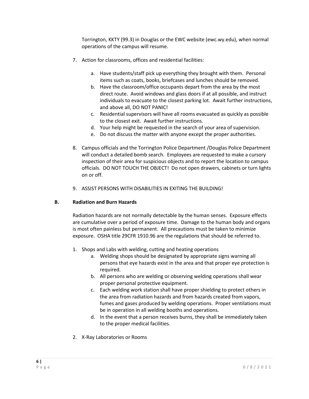Torrington, KKTY (99.3) in Douglas or the EWC website (ewc.wy.edu), when normal operations of the campus will resume.

- 7. Action for classrooms, offices and residential facilities:
	- a. Have students/staff pick up everything they brought with them. Personal items such as coats, books, briefcases and lunches should be removed.
	- b. Have the classroom/office occupants depart from the area by the most direct route. Avoid windows and glass doors if at all possible, and instruct individuals to evacuate to the closest parking lot. Await further instructions, and above all, DO NOT PANIC!
	- c. Residential supervisors will have all rooms evacuated as quickly as possible to the closest exit. Await further instructions.
	- d. Your help might be requested in the search of your area of supervision.
	- e. Do not discuss the matter with anyone except the proper authorities.
- 8. Campus officials and the Torrington Police Department /Douglas Police Department will conduct a detailed bomb search. Employees are requested to make a cursory inspection of their area for suspicious objects and to report the location to campus officials. DO NOT TOUCH THE OBJECT! Do not open drawers, cabinets or turn lights on or off.
- 9. ASSIST PERSONS WITH DISABILITIES IN EXITING THE BUILDING!

#### **B. Radiation and Burn Hazards**

Radiation hazards are not normally detectable by the human senses. Exposure effects are cumulative over a period of exposure time. Damage to the human body and organs is most often painless but permanent. All precautions must be taken to minimize exposure. OSHA title 29CFR 1910.96 are the regulations that should be referred to.

- 1. Shops and Labs with welding, cutting and heating operations
	- a. Welding shops should be designated by appropriate signs warning all persons that eye hazards exist in the area and that proper eye protection is required.
	- b. All persons who are welding or observing welding operations shall wear proper personal protective equipment.
	- c. Each welding work station shall have proper shielding to protect others in the area from radiation hazards and from hazards created from vapors, fumes and gases produced by welding operations. Proper ventilations must be in operation in all welding booths and operations.
	- d. In the event that a person receives burns, they shall be immediately taken to the proper medical facilities.
- 2. X-Ray Laboratories or Rooms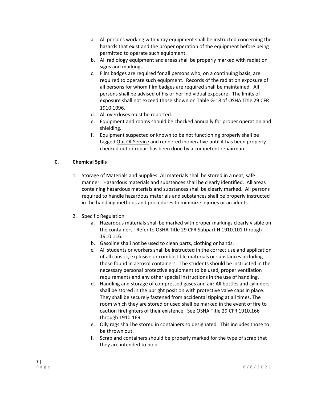- a. All persons working with x-ray equipment shall be instructed concerning the hazards that exist and the proper operation of the equipment before being permitted to operate such equipment.
- b. All radiology equipment and areas shall be properly marked with radiation signs and markings.
- c. Film badges are required for all persons who, on a continuing basis, are required to operate such equipment. Records of the radiation exposure of all persons for whom film badges are required shall be maintained. All persons shall be advised of his or her individual exposure. The limits of exposure shall not exceed those shown on Table G-18 of OSHA Title 29 CFR 1910.1096.
- d. All overdoses must be reported.
- e. Equipment and rooms should be checked annually for proper operation and shielding.
- f. Equipment suspected or known to be not functioning properly shall be tagged Out Of Service and rendered inoperative until it has been properly checked out or repair has been done by a competent repairman.

## **C. Chemical Spills**

- 1. Storage of Materials and Supplies: All materials shall be stored in a neat, safe manner. Hazardous materials and substances shall be clearly identified. All areas containing hazardous materials and substances shall be clearly marked. All persons required to handle hazardous materials and substances shall be properly instructed in the handling methods and procedures to minimize injuries or accidents.
- 2. Specific Regulation
	- a. Hazardous materials shall be marked with proper markings clearly visible on the containers. Refer to OSHA Title 29 CFR Subpart H 1910.101 through 1910.116.
	- b. Gasoline shall not be used to clean parts, clothing or hands.
	- c. All students or workers shall be instructed in the correct use and application of all caustic, explosive or combustible materials or substances including those found in aerosol containers. The students should be instructed in the necessary personal protective equipment to be used, proper ventilation requirements and any other special instructions in the use of handling.
	- d. Handling and storage of compressed gases and air: All bottles and cylinders shall be stored in the upright position with protective valve caps in place. They shall be securely fastened from accidental tipping at all times. The room which they are stored or used shall be marked in the event of fire to caution firefighters of their existence. See OSHA Title 29 CFR 1910.166 through 1910.169.
	- e. Oily rags shall be stored in containers so designated. This includes those to be thrown out.
	- f. Scrap and containers should be properly marked for the type of scrap that they are intended to hold.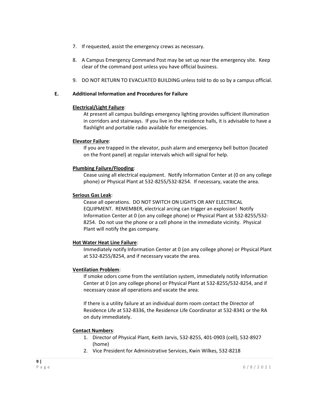- 7. If requested, assist the emergency crews as necessary.
- 8. A Campus Emergency Command Post may be set up near the emergency site. Keep clear of the command post unless you have official business.
- 9. DO NOT RETURN TO EVACUATED BUILDING unless told to do so by a campus official.

#### **E. Additional Information and Procedures for Failure**

#### **Electrical/Light Failure**:

At present all campus buildings emergency lighting provides sufficient illumination in corridors and stairways. If you live in the residence halls, it is advisable to have a flashlight and portable radio available for emergencies.

#### **Elevator Failure**:

If you are trapped in the elevator, push alarm and emergency bell button (located on the front panel) at regular intervals which will signal for help.

#### **Plumbing Failure/Flooding**:

Cease using all electrical equipment. Notify Information Center at (0 on any college phone) or Physical Plant at 532-8255/532-8254. If necessary, vacate the area.

#### **Serious Gas Leak**:

Cease all operations. DO NOT SWITCH ON LIGHTS OR ANY ELECTRICAL EQUIPMENT. REMEMBER, electrical arcing can trigger an explosion! Notify Information Center at 0 (on any college phone) or Physical Plant at 532-8255/532- 8254. Do not use the phone or a cell phone in the immediate vicinity. Physical Plant will notify the gas company.

#### **Hot Water Heat Line Failure**:

Immediately notify Information Center at 0 (on any college phone) or Physical Plant at 532-8255/8254, and if necessary vacate the area.

#### **Ventilation Problem**:

If smoke odors come from the ventilation system, immediately notify Information Center at 0 (on any college phone) or Physical Plant at 532-8255/532-8254, and if necessary cease all operations and vacate the area.

If there is a utility failure at an individual dorm room contact the Director of Residence Life at 532-8336, the Residence Life Coordinator at 532-8341 or the RA on duty immediately.

#### **Contact Numbers**:

- 1. Director of Physical Plant, Keith Jarvis, 532-8255, 401-0903 (cell), 532-8927 (home)
- 2. Vice President for Administrative Services, Kwin Wilkes, 532-8218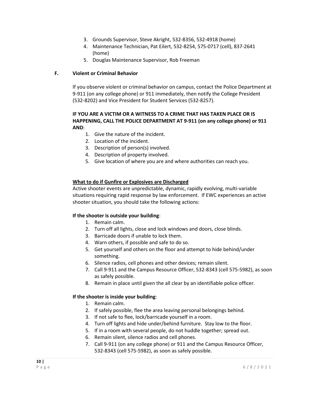- 3. Grounds Supervisor, Steve Akright, 532-8356, 532-4918 (home)
- 4. Maintenance Technician, Pat Eilert, 532-8254, 575-0717 (cell), 837-2641 (home)
- 5. Douglas Maintenance Supervisor, Rob Freeman

## **F. Violent or Criminal Behavior**

If you observe violent or criminal behavior on campus, contact the Police Department at 9-911 (on any college phone) or 911 immediately, then notify the College President (532-8202) and Vice President for Student Services (532-8257).

#### **IF YOU ARE A VICTIM OR A WITNESS TO A CRIME THAT HAS TAKEN PLACE OR IS HAPPENING, CALL THE POLICE DEPARTMENT AT 9-911 (on any college phone) or 911 AND**:

- 1. Give the nature of the incident.
- 2. Location of the incident.
- 3. Description of person(s) involved.
- 4. Description of property involved.
- 5. Give location of where you are and where authorities can reach you.

#### **What to do if Gunfire or Explosives are Discharged**

Active shooter events are unpredictable, dynamic, rapidly evolving, multi-variable situations requiring rapid response by law enforcement. If EWC experiences an active shooter situation, you should take the following actions:

#### **If the shooter is outside your building**:

- 1. Remain calm.
- 2. Turn off all lights, close and lock windows and doors, close blinds.
- 3. Barricade doors if unable to lock them.
- 4. Warn others, if possible and safe to do so.
- 5. Get yourself and others on the floor and attempt to hide behind/under something.
- 6. Silence radios, cell phones and other devices; remain silent.
- 7. Call 9-911 and the Campus Resource Officer, 532-8343 (cell 575-5982), as soon as safely possible.
- 8. Remain in place until given the all clear by an identifiable police officer.

#### **If the shooter is inside your building**:

- 1. Remain calm.
- 2. If safely possible, flee the area leaving personal belongings behind.
- 3. If not safe to flee, lock/barricade yourself in a room.
- 4. Turn off lights and hide under/behind furniture. Stay low to the floor.
- 5. If in a room with several people, do not huddle together; spread out.
- 6. Remain silent, silence radios and cell phones.
- 7. Call 9-911 (on any college phone) or 911 and the Campus Resource Officer, 532-8343 (cell 575-5982), as soon as safely possible.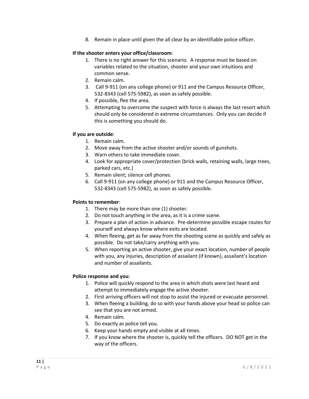8. Remain in place until given the all clear by an identifiable police officer.

### **If the shooter enters your office/classroom**:

- 1. There is no right answer for this scenario. A response must be based on variables related to the situation, shooter and your own intuitions and common sense.
- 2. Remain calm.
- 3. Call 9-911 (on any college phone) or 911 and the Campus Resource Officer, 532-8343 (cell 575-5982), as soon as safely possible.
- 4. If possible, flee the area.
- 5. Attempting to overcome the suspect with force is always the last resort which should only be considered in extreme circumstances. Only you can decide if this is something you should do.

## **If you are outside**:

- 1. Remain calm.
- 2. Move away from the active shooter and/or sounds of gunshots.
- 3. Warn others to take immediate cover.
- 4. Look for appropriate cover/protection (brick walls, retaining walls, large trees, parked cars, etc.)
- 5. Remain silent; silence cell phones.
- 6. Call 9-911 (on any college phone) or 911 and the Campus Resource Officer, 532-8343 (cell 575-5982), as soon as safely possible.

### **Points to remember**:

- 1. There may be more than one (1) shooter.
- 2. Do not touch anything in the area, as it is a crime scene.
- 3. Prepare a plan of action in advance. Pre-determine possible escape routes for yourself and always know where exits are located.
- 4. When fleeing, get as far away from the shooting scene as quickly and safely as possible. Do not take/carry anything with you.
- 5. When reporting an active shooter, give your exact location, number of people with you, any injuries, description of assailant (if known), assailant's location and number of assailants.

#### **Police response and you**:

- 1. Police will quickly respond to the area in which shots were last heard and attempt to immediately engage the active shooter.
- 2. First arriving officers will not stop to assist the injured or evacuate personnel.
- 3. When fleeing a building, do so with your hands above your head so police can see that you are not armed.
- 4. Remain calm.
- 5. Do exactly as police tell you.
- 6. Keep your hands empty and visible at all times.
- 7. If you know where the shooter is, quickly tell the officers. DO NOT get in the way of the officers.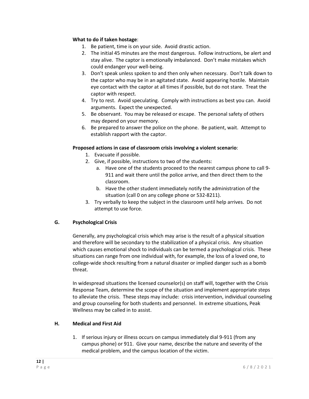#### **What to do if taken hostage**:

- 1. Be patient, time is on your side. Avoid drastic action.
- 2. The initial 45 minutes are the most dangerous. Follow instructions, be alert and stay alive. The captor is emotionally imbalanced. Don't make mistakes which could endanger your well-being.
- 3. Don't speak unless spoken to and then only when necessary. Don't talk down to the captor who may be in an agitated state. Avoid appearing hostile. Maintain eye contact with the captor at all times if possible, but do not stare. Treat the captor with respect.
- 4. Try to rest. Avoid speculating. Comply with instructions as best you can. Avoid arguments. Expect the unexpected.
- 5. Be observant. You may be released or escape. The personal safety of others may depend on your memory.
- 6. Be prepared to answer the police on the phone. Be patient, wait. Attempt to establish rapport with the captor.

#### **Proposed actions in case of classroom crisis involving a violent scenario**:

- 1. Evacuate if possible.
- 2. Give, if possible, instructions to two of the students:
	- a. Have one of the students proceed to the nearest campus phone to call 9- 911 and wait there until the police arrive, and then direct them to the classroom.
	- b. Have the other student immediately notify the administration of the situation (call 0 on any college phone or 532-8211).
- 3. Try verbally to keep the subject in the classroom until help arrives. Do not attempt to use force.

#### **G. Psychological Crisis**

Generally, any psychological crisis which may arise is the result of a physical situation and therefore will be secondary to the stabilization of a physical crisis. Any situation which causes emotional shock to individuals can be termed a psychological crisis. These situations can range from one individual with, for example, the loss of a loved one, to college-wide shock resulting from a natural disaster or implied danger such as a bomb threat.

In widespread situations the licensed counselor(s) on staff will, together with the Crisis Response Team, determine the scope of the situation and implement appropriate steps to alleviate the crisis. These steps may include: crisis intervention, individual counseling and group counseling for both students and personnel. In extreme situations, Peak Wellness may be called in to assist.

#### **H. Medical and First Aid**

1. If serious injury or illness occurs on campus immediately dial 9-911 (from any campus phone) or 911. Give your name, describe the nature and severity of the medical problem, and the campus location of the victim.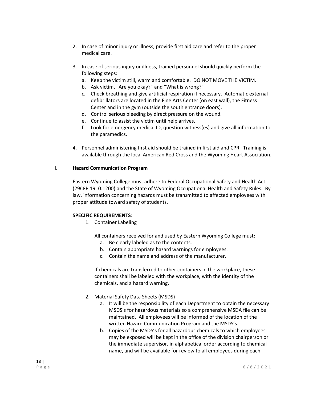- 2. In case of minor injury or illness, provide first aid care and refer to the proper medical care.
- 3. In case of serious injury or illness, trained personnel should quickly perform the following steps:
	- a. Keep the victim still, warm and comfortable. DO NOT MOVE THE VICTIM.
	- b. Ask victim, "Are you okay?" and "What is wrong?"
	- c. Check breathing and give artificial respiration if necessary. Automatic external defibrillators are located in the Fine Arts Center (on east wall), the Fitness Center and in the gym (outside the south entrance doors).
	- d. Control serious bleeding by direct pressure on the wound.
	- e. Continue to assist the victim until help arrives.
	- f. Look for emergency medical ID, question witness(es) and give all information to the paramedics.
- 4. Personnel administering first aid should be trained in first aid and CPR. Training is available through the local American Red Cross and the Wyoming Heart Association.

#### **I. Hazard Communication Program**

Eastern Wyoming College must adhere to Federal Occupational Safety and Health Act (29CFR 1910.1200) and the State of Wyoming Occupational Health and Safety Rules. By law, information concerning hazards must be transmitted to affected employees with proper attitude toward safety of students.

#### **SPECIFIC REQUIREMENTS**:

1. Container Labeling

All containers received for and used by Eastern Wyoming College must:

- a. Be clearly labeled as to the contents.
- b. Contain appropriate hazard warnings for employees.
- c. Contain the name and address of the manufacturer.

If chemicals are transferred to other containers in the workplace, these containers shall be labeled with the workplace, with the identity of the chemicals, and a hazard warning.

- 2. Material Safety Data Sheets (MSDS)
	- a. It will be the responsibility of each Department to obtain the necessary MSDS's for hazardous materials so a comprehensive MSDA file can be maintained. All employees will be informed of the location of the written Hazard Communication Program and the MSDS's.
	- b. Copies of the MSDS's for all hazardous chemicals to which employees may be exposed will be kept in the office of the division chairperson or the immediate supervisor, in alphabetical order according to chemical name, and will be available for review to all employees during each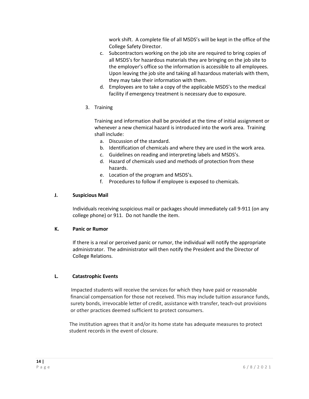work shift. A complete file of all MSDS's will be kept in the office of the College Safety Director.

- c. Subcontractors working on the job site are required to bring copies of all MSDS's for hazardous materials they are bringing on the job site to the employer's office so the information is accessible to all employees. Upon leaving the job site and taking all hazardous materials with them, they may take their information with them.
- d. Employees are to take a copy of the applicable MSDS's to the medical facility if emergency treatment is necessary due to exposure.
- 3. Training

Training and information shall be provided at the time of initial assignment or whenever a new chemical hazard is introduced into the work area. Training shall include:

- a. Discussion of the standard.
- b. Identification of chemicals and where they are used in the work area.
- c. Guidelines on reading and interpreting labels and MSDS's.
- d. Hazard of chemicals used and methods of protection from these hazards.
- e. Location of the program and MSDS's.
- f. Procedures to follow if employee is exposed to chemicals.

#### **J. Suspicious Mail**

Individuals receiving suspicious mail or packages should immediately call 9-911 (on any college phone) or 911. Do not handle the item.

#### **K. Panic or Rumor**

If there is a real or perceived panic or rumor, the individual will notify the appropriate administrator. The administrator will then notify the President and the Director of College Relations.

#### **L. Catastrophic Events**

 Impacted students will receive the services for which they have paid or reasonable financial compensation for those not received. This may include tuition assurance funds, surety bonds, irrevocable letter of credit, assistance with transfer, teach-out provisions or other practices deemed sufficient to protect consumers.

 The institution agrees that it and/or its home state has adequate measures to protect student records in the event of closure.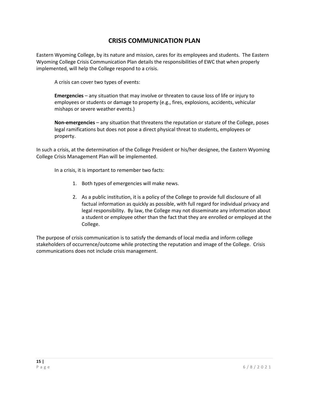## **CRISIS COMMUNICATION PLAN**

Eastern Wyoming College, by its nature and mission, cares for its employees and students. The Eastern Wyoming College Crisis Communication Plan details the responsibilities of EWC that when properly implemented, will help the College respond to a crisis.

A crisis can cover two types of events:

**Emergencies** – any situation that may involve or threaten to cause loss of life or injury to employees or students or damage to property (e.g., fires, explosions, accidents, vehicular mishaps or severe weather events.)

**Non-emergencies** – any situation that threatens the reputation or stature of the College, poses legal ramifications but does not pose a direct physical threat to students, employees or property.

In such a crisis, at the determination of the College President or his/her designee, the Eastern Wyoming College Crisis Management Plan will be implemented.

In a crisis, it is important to remember two facts:

- 1. Both types of emergencies will make news.
- 2. As a public institution, it is a policy of the College to provide full disclosure of all factual information as quickly as possible, with full regard for individual privacy and legal responsibility. By law, the College may not disseminate any information about a student or employee other than the fact that they are enrolled or employed at the College.

The purpose of crisis communication is to satisfy the demands of local media and inform college stakeholders of occurrence/outcome while protecting the reputation and image of the College. Crisis communications does not include crisis management.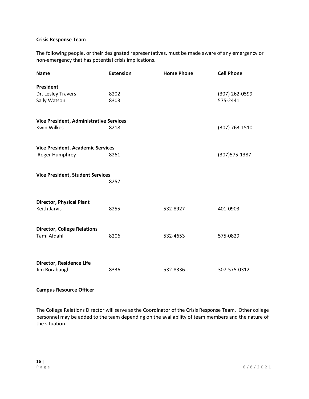## **Crisis Response Team**

The following people, or their designated representatives, must be made aware of any emergency or non-emergency that has potential crisis implications.

| <b>Name</b>                                    | <b>Extension</b> | <b>Home Phone</b> | <b>Cell Phone</b> |  |  |
|------------------------------------------------|------------------|-------------------|-------------------|--|--|
| President                                      |                  |                   |                   |  |  |
| Dr. Lesley Travers                             | 8202             |                   | (307) 262-0599    |  |  |
| Sally Watson                                   | 8303             |                   | 575-2441          |  |  |
| <b>Vice President, Administrative Services</b> |                  |                   |                   |  |  |
| <b>Kwin Wilkes</b>                             | 8218             |                   | (307) 763-1510    |  |  |
| <b>Vice President, Academic Services</b>       |                  |                   |                   |  |  |
| Roger Humphrey                                 | 8261             |                   | (307) 575-1387    |  |  |
| <b>Vice President, Student Services</b>        |                  |                   |                   |  |  |
|                                                | 8257             |                   |                   |  |  |
| <b>Director, Physical Plant</b>                |                  |                   |                   |  |  |
| Keith Jarvis                                   | 8255             | 532-8927          | 401-0903          |  |  |
| <b>Director, College Relations</b>             |                  |                   |                   |  |  |
| Tami Afdahl                                    | 8206             | 532-4653          | 575-0829          |  |  |
|                                                |                  |                   |                   |  |  |
| Director, Residence Life<br>Jim Rorabaugh      | 8336             | 532-8336          | 307-575-0312      |  |  |
|                                                |                  |                   |                   |  |  |

#### **Campus Resource Officer**

The College Relations Director will serve as the Coordinator of the Crisis Response Team. Other college personnel may be added to the team depending on the availability of team members and the nature of the situation.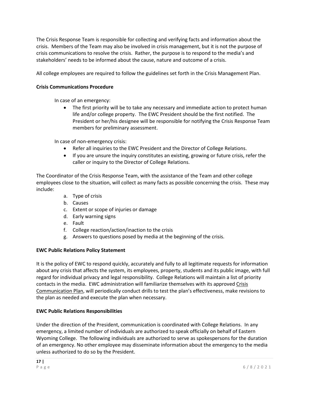The Crisis Response Team is responsible for collecting and verifying facts and information about the crisis. Members of the Team may also be involved in crisis management, but it is not the purpose of crisis communications to resolve the crisis. Rather, the purpose is to respond to the media's and stakeholders' needs to be informed about the cause, nature and outcome of a crisis.

All college employees are required to follow the guidelines set forth in the Crisis Management Plan.

#### **Crisis Communications Procedure**

In case of an emergency:

• The first priority will be to take any necessary and immediate action to protect human life and/or college property. The EWC President should be the first notified. The President or her/his designee will be responsible for notifying the Crisis Response Team members for preliminary assessment.

In case of non-emergency crisis:

- Refer all inquiries to the EWC President and the Director of College Relations.
- If you are unsure the inquiry constitutes an existing, growing or future crisis, refer the caller or inquiry to the Director of College Relations.

The Coordinator of the Crisis Response Team, with the assistance of the Team and other college employees close to the situation, will collect as many facts as possible concerning the crisis. These may include:

- a. Type of crisis
- b. Causes
- c. Extent or scope of injuries or damage
- d. Early warning signs
- e. Fault
- f. College reaction/action/inaction to the crisis
- g. Answers to questions posed by media at the beginning of the crisis.

#### **EWC Public Relations Policy Statement**

It is the policy of EWC to respond quickly, accurately and fully to all legitimate requests for information about any crisis that affects the system, its employees, property, students and its public image, with full regard for individual privacy and legal responsibility. College Relations will maintain a list of priority contacts in the media. EWC administration will familiarize themselves with its approved Crisis Communication Plan, will periodically conduct drills to test the plan's effectiveness, make revisions to the plan as needed and execute the plan when necessary.

#### **EWC Public Relations Responsibilities**

Under the direction of the President, communication is coordinated with College Relations. In any emergency, a limited number of individuals are authorized to speak officially on behalf of Eastern Wyoming College. The following individuals are authorized to serve as spokespersons for the duration of an emergency. No other employee may disseminate information about the emergency to the media unless authorized to do so by the President.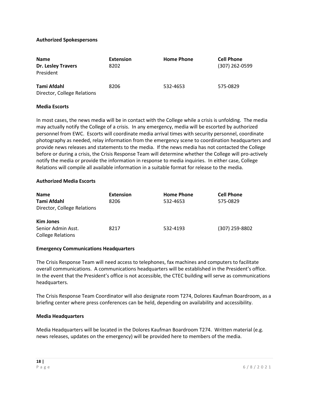#### **Authorized Spokespersons**

| <b>Name</b><br><b>Dr. Lesley Travers</b><br>President | <b>Extension</b><br>8202 | <b>Home Phone</b> | <b>Cell Phone</b><br>(307) 262-0599 |
|-------------------------------------------------------|--------------------------|-------------------|-------------------------------------|
| Tami Afdahl<br>Director, College Relations            | 8206                     | 532-4653          | 575-0829                            |

#### **Media Escorts**

In most cases, the news media will be in contact with the College while a crisis is unfolding. The media may actually notify the College of a crisis. In any emergency, media will be escorted by authorized personnel from EWC. Escorts will coordinate media arrival times with security personnel, coordinate photography as needed, relay information from the emergency scene to coordination headquarters and provide news releases and statements to the media. If the news media has not contacted the College before or during a crisis, the Crisis Response Team will determine whether the College will pro-actively notify the media or provide the information in response to media inquiries. In either case, College Relations will compile all available information in a suitable format for release to the media.

#### **Authorized Media Escorts**

| <b>Name</b>                 | <b>Extension</b> | <b>Home Phone</b> | <b>Cell Phone</b> |
|-----------------------------|------------------|-------------------|-------------------|
| Tami Afdahl                 | 8206             | 532-4653          | 575-0829          |
| Director, College Relations |                  |                   |                   |
| <b>Kim Jones</b>            |                  |                   |                   |
| Senior Admin Asst.          | 8217             | 532-4193          | (307) 259-8802    |
| <b>College Relations</b>    |                  |                   |                   |

#### **Emergency Communications Headquarters**

The Crisis Response Team will need access to telephones, fax machines and computers to facilitate overall communications. A communications headquarters will be established in the President's office. In the event that the President's office is not accessible, the CTEC building will serve as communications headquarters.

The Crisis Response Team Coordinator will also designate room T274, Dolores Kaufman Boardroom, as a briefing center where press conferences can be held, depending on availability and accessibility.

#### **Media Headquarters**

Media Headquarters will be located in the Dolores Kaufman Boardroom T274. Written material (e.g. news releases, updates on the emergency) will be provided here to members of the media.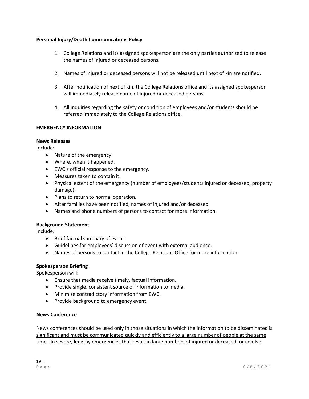#### **Personal Injury/Death Communications Policy**

- 1. College Relations and its assigned spokesperson are the only parties authorized to release the names of injured or deceased persons.
- 2. Names of injured or deceased persons will not be released until next of kin are notified.
- 3. After notification of next of kin, the College Relations office and its assigned spokesperson will immediately release name of injured or deceased persons.
- 4. All inquiries regarding the safety or condition of employees and/or students should be referred immediately to the College Relations office.

#### **EMERGENCY INFORMATION**

#### **News Releases**

Include:

- Nature of the emergency.
- Where, when it happened.
- EWC's official response to the emergency.
- Measures taken to contain it.
- Physical extent of the emergency (number of employees/students injured or deceased, property damage).
- Plans to return to normal operation.
- After families have been notified, names of injured and/or deceased
- Names and phone numbers of persons to contact for more information.

#### **Background Statement**

Include:

- Brief factual summary of event.
- Guidelines for employees' discussion of event with external audience.
- Names of persons to contact in the College Relations Office for more information.

#### **Spokesperson Briefing**

Spokesperson will:

- Ensure that media receive timely, factual information.
- Provide single, consistent source of information to media.
- Minimize contradictory information from EWC.
- Provide background to emergency event.

#### **News Conference**

News conferences should be used only in those situations in which the information to be disseminated is significant and must be communicated quickly and efficiently to a large number of people at the same time. In severe, lengthy emergencies that result in large numbers of injured or deceased, or involve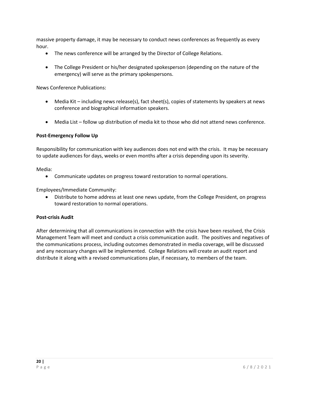massive property damage, it may be necessary to conduct news conferences as frequently as every hour.

- The news conference will be arranged by the Director of College Relations.
- The College President or his/her designated spokesperson (depending on the nature of the emergency) will serve as the primary spokespersons.

News Conference Publications:

- Media Kit including news release(s), fact sheet(s), copies of statements by speakers at news conference and biographical information speakers.
- Media List follow up distribution of media kit to those who did not attend news conference.

#### **Post-Emergency Follow Up**

Responsibility for communication with key audiences does not end with the crisis. It may be necessary to update audiences for days, weeks or even months after a crisis depending upon its severity.

Media:

• Communicate updates on progress toward restoration to normal operations.

Employees/Immediate Community:

• Distribute to home address at least one news update, from the College President, on progress toward restoration to normal operations.

#### **Post-crisis Audit**

After determining that all communications in connection with the crisis have been resolved, the Crisis Management Team will meet and conduct a crisis communication audit. The positives and negatives of the communications process, including outcomes demonstrated in media coverage, will be discussed and any necessary changes will be implemented. College Relations will create an audit report and distribute it along with a revised communications plan, if necessary, to members of the team.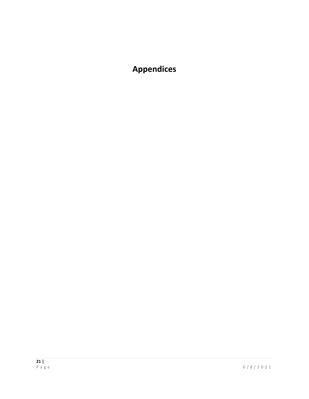## **Appendices**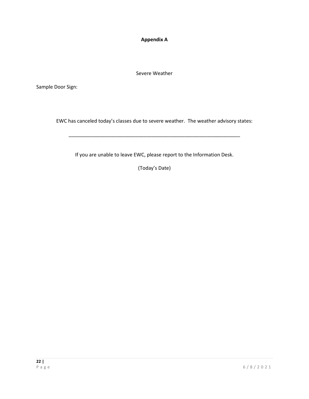**Appendix A**

Severe Weather

Sample Door Sign:

EWC has canceled today's classes due to severe weather. The weather advisory states:

\_\_\_\_\_\_\_\_\_\_\_\_\_\_\_\_\_\_\_\_\_\_\_\_\_\_\_\_\_\_\_\_\_\_\_\_\_\_\_\_\_\_\_\_\_\_\_\_\_\_\_\_\_\_\_\_\_\_\_\_\_\_

If you are unable to leave EWC, please report to the Information Desk.

(Today's Date)